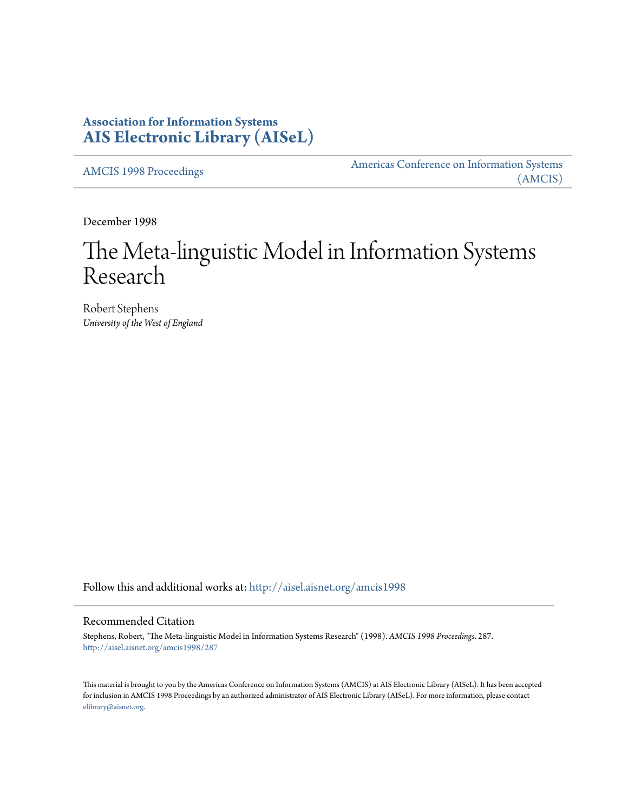## **Association for Information Systems [AIS Electronic Library \(AISeL\)](http://aisel.aisnet.org?utm_source=aisel.aisnet.org%2Famcis1998%2F287&utm_medium=PDF&utm_campaign=PDFCoverPages)**

[AMCIS 1998 Proceedings](http://aisel.aisnet.org/amcis1998?utm_source=aisel.aisnet.org%2Famcis1998%2F287&utm_medium=PDF&utm_campaign=PDFCoverPages)

[Americas Conference on Information Systems](http://aisel.aisnet.org/amcis?utm_source=aisel.aisnet.org%2Famcis1998%2F287&utm_medium=PDF&utm_campaign=PDFCoverPages) [\(AMCIS\)](http://aisel.aisnet.org/amcis?utm_source=aisel.aisnet.org%2Famcis1998%2F287&utm_medium=PDF&utm_campaign=PDFCoverPages)

December 1998

# The Meta-linguistic Model in Information Systems Research

Robert Stephens *University of the West of England*

Follow this and additional works at: [http://aisel.aisnet.org/amcis1998](http://aisel.aisnet.org/amcis1998?utm_source=aisel.aisnet.org%2Famcis1998%2F287&utm_medium=PDF&utm_campaign=PDFCoverPages)

#### Recommended Citation

Stephens, Robert, "The Meta-linguistic Model in Information Systems Research" (1998). *AMCIS 1998 Proceedings*. 287. [http://aisel.aisnet.org/amcis1998/287](http://aisel.aisnet.org/amcis1998/287?utm_source=aisel.aisnet.org%2Famcis1998%2F287&utm_medium=PDF&utm_campaign=PDFCoverPages)

This material is brought to you by the Americas Conference on Information Systems (AMCIS) at AIS Electronic Library (AISeL). It has been accepted for inclusion in AMCIS 1998 Proceedings by an authorized administrator of AIS Electronic Library (AISeL). For more information, please contact [elibrary@aisnet.org.](mailto:elibrary@aisnet.org%3E)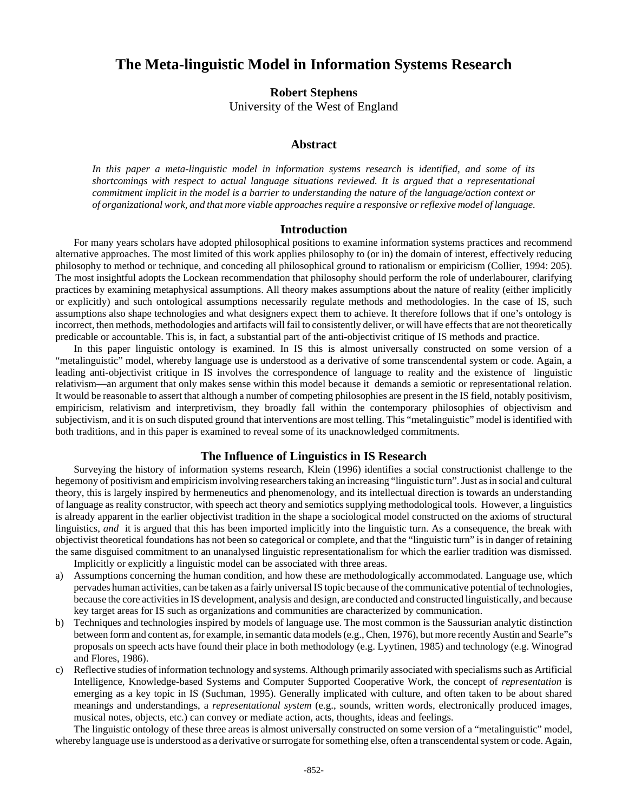### **The Meta-linguistic Model in Information Systems Research**

**Robert Stephens** University of the West of England

#### **Abstract**

*In this paper a meta-linguistic model in information systems research is identified, and some of its shortcomings with respect to actual language situations reviewed. It is argued that a representational commitment implicit in the model is a barrier to understanding the nature of the language/action context or of organizational work, and that more viable approaches require a responsive or reflexive model of language.*

#### **Introduction**

For many years scholars have adopted philosophical positions to examine information systems practices and recommend alternative approaches. The most limited of this work applies philosophy to (or in) the domain of interest, effectively reducing philosophy to method or technique, and conceding all philosophical ground to rationalism or empiricism (Collier, 1994: 205). The most insightful adopts the Lockean recommendation that philosophy should perform the role of underlabourer, clarifying practices by examining metaphysical assumptions. All theory makes assumptions about the nature of reality (either implicitly or explicitly) and such ontological assumptions necessarily regulate methods and methodologies. In the case of IS, such assumptions also shape technologies and what designers expect them to achieve. It therefore follows that if one's ontology is incorrect, then methods, methodologies and artifacts will fail to consistently deliver, or will have effects that are not theoretically predicable or accountable. This is, in fact, a substantial part of the anti-objectivist critique of IS methods and practice.

In this paper linguistic ontology is examined. In IS this is almost universally constructed on some version of a "metalinguistic" model, whereby language use is understood as a derivative of some transcendental system or code. Again, a leading anti-objectivist critique in IS involves the correspondence of language to reality and the existence of linguistic relativism—an argument that only makes sense within this model because it demands a semiotic or representational relation. It would be reasonable to assert that although a number of competing philosophies are present in the IS field, notably positivism, empiricism, relativism and interpretivism, they broadly fall within the contemporary philosophies of objectivism and subjectivism, and it is on such disputed ground that interventions are most telling. This "metalinguistic" model is identified with both traditions, and in this paper is examined to reveal some of its unacknowledged commitments.

#### **The Influence of Linguistics in IS Research**

Surveying the history of information systems research, Klein (1996) identifies a social constructionist challenge to the hegemony of positivism and empiricism involving researchers taking an increasing "linguistic turn". Just as in social and cultural theory, this is largely inspired by hermeneutics and phenomenology, and its intellectual direction is towards an understanding of language as reality constructor, with speech act theory and semiotics supplying methodological tools. However, a linguistics is already apparent in the earlier objectivist tradition in the shape a sociological model constructed on the axioms of structural linguistics, *and* it is argued that this has been imported implicitly into the linguistic turn. As a consequence, the break with objectivist theoretical foundations has not been so categorical or complete, and that the "linguistic turn" is in danger of retaining the same disguised commitment to an unanalysed linguistic representationalism for which the earlier tradition was dismissed.

Implicitly or explicitly a linguistic model can be associated with three areas.

- a) Assumptions concerning the human condition, and how these are methodologically accommodated. Language use, which pervades human activities, can be taken as a fairly universal IS topic because of the communicative potential of technologies, because the core activities in IS development, analysis and design, are conducted and constructed linguistically, and because key target areas for IS such as organizations and communities are characterized by communication.
- b) Techniques and technologies inspired by models of language use. The most common is the Saussurian analytic distinction between form and content as, for example, in semantic data models (e.g., Chen, 1976), but more recently Austin and Searle"s proposals on speech acts have found their place in both methodology (e.g. Lyytinen, 1985) and technology (e.g. Winograd and Flores, 1986).
- c) Reflective studies of information technology and systems. Although primarily associated with specialisms such as Artificial Intelligence, Knowledge-based Systems and Computer Supported Cooperative Work, the concept of *representation* is emerging as a key topic in IS (Suchman, 1995). Generally implicated with culture, and often taken to be about shared meanings and understandings, a *representational system* (e.g., sounds, written words, electronically produced images, musical notes, objects, etc.) can convey or mediate action, acts, thoughts, ideas and feelings.

The linguistic ontology of these three areas is almost universally constructed on some version of a "metalinguistic" model, whereby language use is understood as a derivative or surrogate for something else, often a transcendental system or code. Again,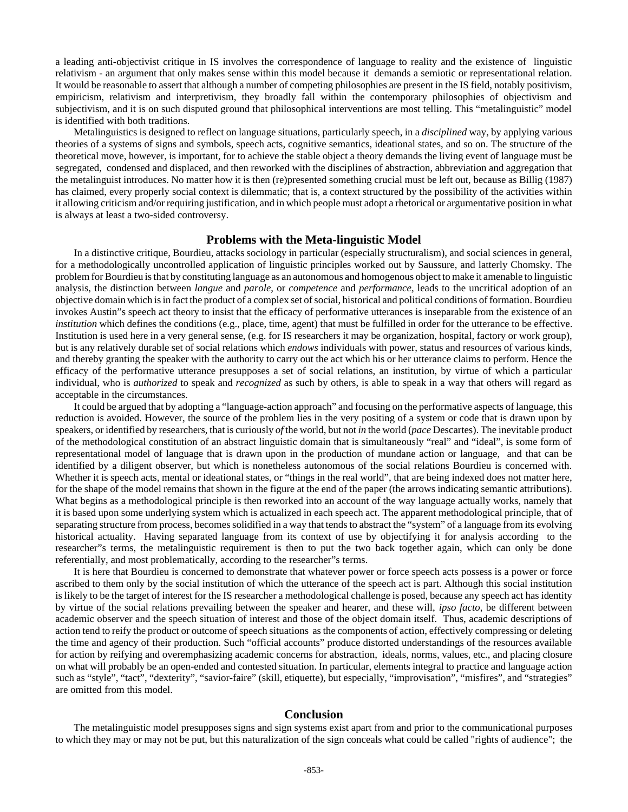a leading anti-objectivist critique in IS involves the correspondence of language to reality and the existence of linguistic relativism - an argument that only makes sense within this model because it demands a semiotic or representational relation. It would be reasonable to assert that although a number of competing philosophies are present in the IS field, notably positivism, empiricism, relativism and interpretivism, they broadly fall within the contemporary philosophies of objectivism and subjectivism, and it is on such disputed ground that philosophical interventions are most telling. This "metalinguistic" model is identified with both traditions.

Metalinguistics is designed to reflect on language situations, particularly speech, in a *disciplined* way, by applying various theories of a systems of signs and symbols, speech acts, cognitive semantics, ideational states, and so on. The structure of the theoretical move, however, is important, for to achieve the stable object a theory demands the living event of language must be segregated, condensed and displaced, and then reworked with the disciplines of abstraction, abbreviation and aggregation that the metalinguist introduces. No matter how it is then (re)presented something crucial must be left out, because as Billig (1987) has claimed, every properly social context is dilemmatic; that is, a context structured by the possibility of the activities within it allowing criticism and/or requiring justification, and in which people must adopt a rhetorical or argumentative position in what is always at least a two-sided controversy.

#### **Problems with the Meta-linguistic Model**

In a distinctive critique, Bourdieu, attacks sociology in particular (especially structuralism), and social sciences in general, for a methodologically uncontrolled application of linguistic principles worked out by Saussure, and latterly Chomsky. The problem for Bourdieu is that by constituting language as an autonomous and homogenous object to make it amenable to linguistic analysis, the distinction between *langue* and *parole*, or *competence* and *performance*, leads to the uncritical adoption of an objective domain which is in fact the product of a complex set of social, historical and political conditions of formation. Bourdieu invokes Austin"s speech act theory to insist that the efficacy of performative utterances is inseparable from the existence of an *institution* which defines the conditions (e.g., place, time, agent) that must be fulfilled in order for the utterance to be effective. Institution is used here in a very general sense, (e.g. for IS researchers it may be organization, hospital, factory or work group), but is any relatively durable set of social relations which *endows* individuals with power, status and resources of various kinds, and thereby granting the speaker with the authority to carry out the act which his or her utterance claims to perform. Hence the efficacy of the performative utterance presupposes a set of social relations, an institution, by virtue of which a particular individual, who is *authorized* to speak and *recognized* as such by others, is able to speak in a way that others will regard as acceptable in the circumstances.

It could be argued that by adopting a "language-action approach" and focusing on the performative aspects of language, this reduction is avoided. However, the source of the problem lies in the very positing of a system or code that is drawn upon by speakers, or identified by researchers, that is curiously *of* the world, but not *in* the world (*pace* Descartes). The inevitable product of the methodological constitution of an abstract linguistic domain that is simultaneously "real" and "ideal", is some form of representational model of language that is drawn upon in the production of mundane action or language, and that can be identified by a diligent observer, but which is nonetheless autonomous of the social relations Bourdieu is concerned with. Whether it is speech acts, mental or ideational states, or "things in the real world", that are being indexed does not matter here, for the shape of the model remains that shown in the figure at the end of the paper (the arrows indicating semantic attributions). What begins as a methodological principle is then reworked into an account of the way language actually works, namely that it is based upon some underlying system which is actualized in each speech act. The apparent methodological principle, that of separating structure from process, becomes solidified in a way that tends to abstract the "system" of a language from its evolving historical actuality. Having separated language from its context of use by objectifying it for analysis according to the researcher"s terms, the metalinguistic requirement is then to put the two back together again, which can only be done referentially, and most problematically, according to the researcher"s terms.

It is here that Bourdieu is concerned to demonstrate that whatever power or force speech acts possess is a power or force ascribed to them only by the social institution of which the utterance of the speech act is part. Although this social institution is likely to be the target of interest for the IS researcher a methodological challenge is posed, because any speech act has identity by virtue of the social relations prevailing between the speaker and hearer, and these will, *ipso facto*, be different between academic observer and the speech situation of interest and those of the object domain itself. Thus, academic descriptions of action tend to reify the product or outcome of speech situations as the components of action, effectively compressing or deleting the time and agency of their production. Such "official accounts" produce distorted understandings of the resources available for action by reifying and overemphasizing academic concerns for abstraction, ideals, norms, values, etc., and placing closure on what will probably be an open-ended and contested situation. In particular, elements integral to practice and language action such as "style", "tact", "dexterity", "savior-faire" (skill, etiquette), but especially, "improvisation", "misfires", and "strategies" are omitted from this model.

#### **Conclusion**

The metalinguistic model presupposes signs and sign systems exist apart from and prior to the communicational purposes to which they may or may not be put, but this naturalization of the sign conceals what could be called "rights of audience"; the